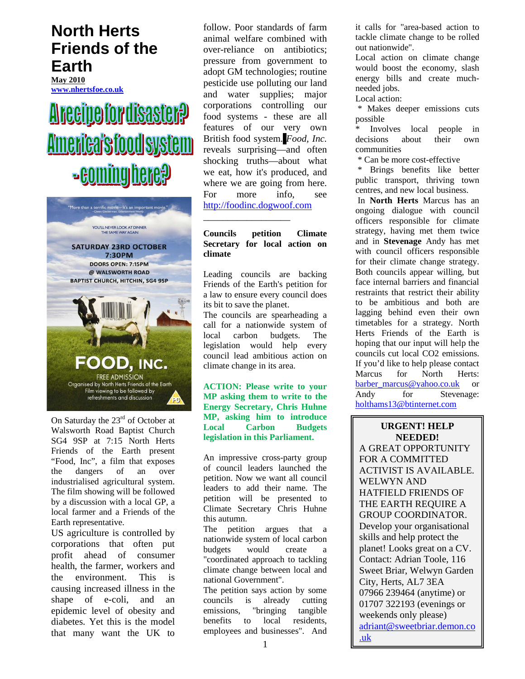# **North Herts Friends of the Earth**

**May 2010 www.nhertsfoe.co.uk**

# **Arceipe for disaster?** <u>America's food system</u> **Boming here?**



On Saturday the 23<sup>rd</sup> of October at Walsworth Road Baptist Church SG4 9SP at 7:15 North Herts Friends of the Earth present "Food, Inc", a film that exposes the dangers of an over industrialised agricultural system. The film showing will be followed by a discussion with a local GP, a local farmer and a Friends of the Earth representative.

US agriculture is controlled by corporations that often put profit ahead of consumer health, the farmer, workers and the environment. This is causing increased illness in the shape of e-coli, and an epidemic level of obesity and diabetes. Yet this is the model that many want the UK to follow. Poor standards of farm animal welfare combined with over-reliance on antibiotics; pressure from government to adopt GM technologies; routine pesticide use polluting our land and water supplies; major corporations controlling our food systems - these are all features of our very own British food system. *Food, Inc.* reveals surprising—and often shocking truths—about what we eat, how it's produced, and where we are going from here. For more info, see http://foodinc.dogwoof.com

#### **Councils petition Climate Secretary for local action on climate**

\_\_\_\_\_\_\_\_\_\_\_\_\_\_\_\_\_\_

Leading councils are backing Friends of the Earth's petition for a law to ensure every council does its bit to save the planet.

The councils are spearheading a call for a nationwide system of local carbon budgets. The legislation would help every council lead ambitious action on climate change in its area.

**ACTION: Please write to your MP asking them to write to the Energy Secretary, Chris Huhne MP, asking him to introduce Local Carbon Budgets legislation in this Parliament.** 

An impressive cross-party group of council leaders launched the petition. Now we want all council leaders to add their name. The petition will be presented to Climate Secretary Chris Huhne this autumn.

The petition argues that a nationwide system of local carbon budgets would create a "coordinated approach to tackling climate change between local and national Government".

The petition says action by some councils is already cutting emissions, "bringing tangible benefits to local residents, employees and businesses". And

it calls for "area-based action to tackle climate change to be rolled out nationwide".

Local action on climate change would boost the economy, slash energy bills and create muchneeded jobs.

Local action:

 \* Makes deeper emissions cuts possible

Involves local people in decisions about their own communities

\* Can be more cost-effective

 \* Brings benefits like better public transport, thriving town centres, and new local business.

 In **North Herts** Marcus has an ongoing dialogue with council officers responsible for climate strategy, having met them twice and in **Stevenage** Andy has met with council officers responsible for their climate change strategy. Both councils appear willing, but face internal barriers and financial restraints that restrict their ability to be ambitious and both are lagging behind even their own timetables for a strategy. North Herts Friends of the Earth is hoping that our input will help the councils cut local CO2 emissions. If you'd like to help please contact Marcus for North Herts: barber\_marcus@yahoo.co.uk or Andy for Stevenage: holthams13@btinternet.com

 $\overline{\phantom{a}}$  , where  $\overline{\phantom{a}}$ 

**URGENT! HELP NEEDED!**  A GREAT OPPORTUNITY FOR A COMMITTED ACTIVIST IS AVAILABLE. WELWYN AND HATFIELD FRIENDS OF THE EARTH REQUIRE A GROUP COORDINATOR. Develop your organisational skills and help protect the planet! Looks great on a CV. Contact: Adrian Toole, 116 Sweet Briar, Welwyn Garden City, Herts, AL7 3EA 07966 239464 (anytime) or 01707 322193 (evenings or weekends only please) adriant@sweetbriar.demon.co .uk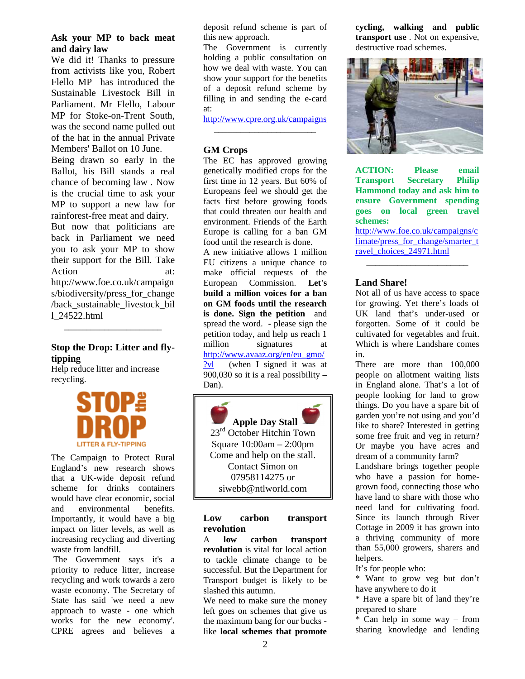#### **Ask your MP to back meat and dairy law**

We did it! Thanks to pressure from activists like you, Robert Flello MP has introduced the Sustainable Livestock Bill in Parliament. Mr Flello, Labour MP for Stoke-on-Trent South, was the second name pulled out of the hat in the annual Private Members' Ballot on 10 June.

Being drawn so early in the Ballot, his Bill stands a real chance of becoming law . Now is the crucial time to ask your MP to support a new law for rainforest-free meat and dairy.

But now that politicians are back in Parliament we need you to ask your MP to show their support for the Bill. Take Action at: http://www.foe.co.uk/campaign s/biodiversity/press for change /back\_sustainable\_livestock\_bil l\_24522.html

# **Stop the Drop: Litter and flytipping**

\_\_\_\_\_\_\_\_\_\_\_\_\_\_\_\_\_\_\_\_\_\_

Help reduce litter and increase recycling.



The Campaign to Protect Rural England's new research shows that a UK-wide deposit refund scheme for drinks containers would have clear economic, social and environmental benefits. Importantly, it would have a big impact on litter levels, as well as increasing recycling and diverting waste from landfill.

 The Government says it's a priority to reduce litter, increase recycling and work towards a zero waste economy. The Secretary of State has said 'we need a new approach to waste - one which works for the new economy'. CPRE agrees and believes a deposit refund scheme is part of this new approach.

The Government is currently holding a public consultation on how we deal with waste. You can show your support for the benefits of a deposit refund scheme by filling in and sending the e-card at:

http://www.cpre.org.uk/campaigns \_\_\_\_\_\_\_\_\_\_\_\_\_\_\_\_\_\_\_\_\_\_\_

#### **GM Crops**

The EC has approved growing genetically modified crops for the first time in 12 years. But 60% of Europeans feel we should get the facts first before growing foods that could threaten our health and environment. Friends of the Earth Europe is calling for a ban GM food until the research is done.

A new initiative allows 1 million EU citizens a unique chance to make official requests of the European Commission. **Let's build a million voices for a ban on GM foods until the research is done. Sign the petition** and spread the word. - please sign the petition today, and help us reach 1 million signatures at http://www.avaaz.org/en/eu\_gmo/ ?vl (when I signed it was at

900,030 so it is a real possibility – Dan).

**Apple Day Stall** 23rd October Hitchin Town Square 10:00am – 2:00pm Come and help on the stall. Contact Simon on 07958114275 or siwebb@ntlworld.com

#### **Low carbon transport revolution**

A **low carbon transport revolution** is vital for local action to tackle climate change to be successful. But the Department for Transport budget is likely to be slashed this autumn.

We need to make sure the money left goes on schemes that give us the maximum bang for our bucks like **local schemes that promote** 

**cycling, walking and public transport use** . Not on expensive, destructive road schemes.



**ACTION: Please email Transport Secretary Philip Hammond today and ask him to ensure Government spending goes on local green travel schemes:**

http://www.foe.co.uk/campaigns/c limate/press\_for\_change/smarter\_t ravel\_choices\_24971.html

\_\_\_\_\_\_\_\_\_\_\_\_\_\_\_\_\_\_\_\_\_\_\_

### **Land Share!**

Not all of us have access to space for growing. Yet there's loads of UK land that's under-used or forgotten. Some of it could be cultivated for vegetables and fruit. Which is where Landshare comes in.

There are more than 100,000 people on allotment waiting lists in England alone. That's a lot of people looking for land to grow things. Do you have a spare bit of garden you're not using and you'd like to share? Interested in getting some free fruit and veg in return? Or maybe you have acres and dream of a community farm?

Landshare brings together people who have a passion for homegrown food, connecting those who have land to share with those who need land for cultivating food. Since its launch through River Cottage in 2009 it has grown into a thriving community of more than 55,000 growers, sharers and helpers.

It's for people who:

\* Want to grow veg but don't have anywhere to do it

\* Have a spare bit of land they're prepared to share

\* Can help in some way – from sharing knowledge and lending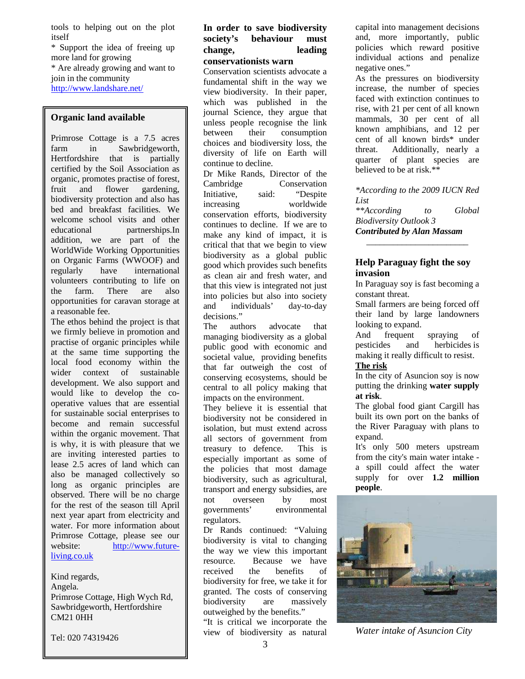tools to helping out on the plot itself

\* Support the idea of freeing up more land for growing \* Are already growing and want to join in the community http://www.landshare.net/

#### **Organic land available**

Primrose Cottage is a 7.5 acres farm in Sawbridgeworth, Hertfordshire that is partially certified by the Soil Association as organic, promotes practise of forest, fruit and flower gardening, biodiversity protection and also has bed and breakfast facilities. We welcome school visits and other educational partnerships.In addition, we are part of the WorldWide Working Opportunities on Organic Farms (WWOOF) and regularly have international volunteers contributing to life on<br>the farm. There are also farm. There are also opportunities for caravan storage at a reasonable fee.

also be managed collectively so long as organic principles are *Church SG4 9SP at 7:15 North*  observed. There will be no charge for the rest of the season till April *"Food, Inc", a film that exposes*  next year apart from electricity and water. For more information about Primrose Cottage, please see our website: http://www.future*by a discussion with a local GP, a*  living.co.uk The ethos behind the project is that we firmly believe in promotion and practise of organic principles while at the same time supporting the local food economy within the wider context of sustainable development. We also support and would like to develop the cooperative values that are essential for sustainable social enterprises to become and remain successful within the organic movement. That is why, it is with pleasure that we are inviting interested parties to lease 2.5 acres of land which can

Kind regards, *Food, Inc. lifts the veil on the*  Angela. *American food industry, exposing*  Primrose Cottage, High Wych Rd, *the highly mechanized underbelly*  Sawbridgeworth, Hertfordshire *that has been hidden from the*  CM21 0HH

Tel: 020 74319426

#### **In order to save biodiversity society's behaviour must change, leading conservationists warn**

Conservation scientists advocate a fundamental shift in the way we view biodiversity. In their paper, which was published in the journal Science, they argue that unless people recognise the link between their consumption choices and biodiversity loss, the diversity of life on Earth will continue to decline.

Dr Mike Rands, Director of the Cambridge Conservation Initiative, said: "Despite increasing worldwide conservation efforts, biodiversity continues to decline. If we are to make any kind of impact, it is critical that that we begin to view biodiversity as a global public good which provides such benefits as clean air and fresh water, and that this view is integrated not just into policies but also into society and individuals' day-to-day decisions."

The authors advocate that managing biodiversity as a global public good with economic and societal value, providing benefits that far outweigh the cost of conserving ecosystems, should be central to all policy making that impacts on the environment.

They believe it is essential that biodiversity not be considered in isolation, but must extend across all sectors of government from treasury to defence. This is especially important as some of the policies that most damage biodiversity, such as agricultural, transport and energy subsidies, are not overseen by most governments' environmental regulators.

Dr Rands continued: "Valuing biodiversity is vital to changing the way we view this important resource. Because we have received the benefits of biodiversity for free, we take it for granted. The costs of conserving biodiversity are massively outweighed by the benefits."

"It is critical we incorporate the view of biodiversity as natural capital into management decisions and, more importantly, public policies which reward positive individual actions and penalize negative ones."

As the pressures on biodiversity increase, the number of species faced with extinction continues to rise, with 21 per cent of all known mammals, 30 per cent of all known amphibians, and 12 per cent of all known birds\* under threat. Additionally, nearly a quarter of plant species are believed to be at risk.\*\*

*\*According to the 2009 IUCN Red List \*\*According to Global Biodiversity Outlook 3 Contributed by Alan Massam* 

\_\_\_\_\_\_\_\_\_\_\_\_\_\_\_\_\_\_\_\_\_\_\_

#### **Help Paraguay fight the soy invasion**

In Paraguay soy is fast becoming a constant threat.

Small farmers are being forced off their land by large landowners looking to expand.

And frequent spraying of pesticides and herbicides is making it really difficult to resist.

# **The risk**

In the city of Asuncion soy is now putting the drinking **water supply at risk**.

The global food giant Cargill has built its own port on the banks of the River Paraguay with plans to expand.

It's only 500 meters upstream from the city's main water intake a spill could affect the water supply for over **1.2 million people**.



*Water intake of Asuncion City*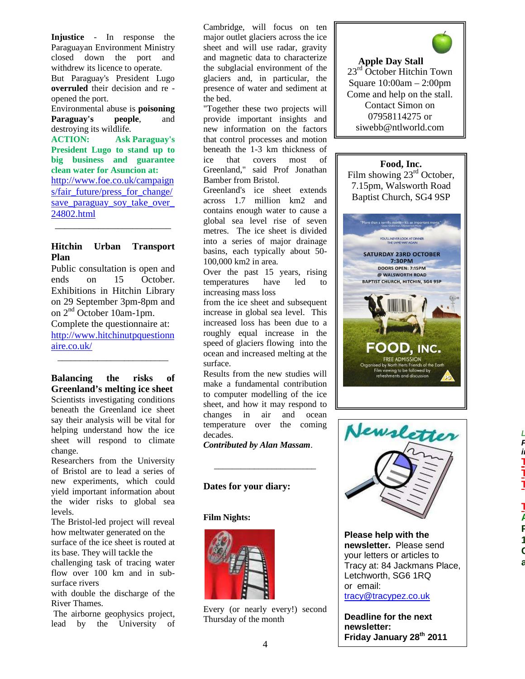**Injustice** - In response the Paraguayan Environment Ministry closed down the port and withdrew its licence to operate. But Paraguay's President Lugo **overruled** their decision and re opened the port.

Environmental abuse is **poisoning Paraguay's people**, and destroying its wildlife.

**ACTION: Ask Paraguay's President Lugo to stand up to big business and guarantee clean water for Asuncion at:**  http://www.foe.co.uk/campaign s/fair\_future/press\_for\_change/ save paraguay soy take over 24802.html \_\_\_\_\_\_\_\_\_\_\_\_\_\_\_\_\_\_\_\_\_\_\_\_

#### **Hitchin Urban Transport Plan**

Public consultation is open and ends on 15 October. Exhibitions in Hitchin Library on 29 September 3pm-8pm and on  $2<sup>nd</sup>$  October 10am-1pm. Complete the questionnaire at: http://www.hitchinutpquestionn aire.co.uk/ \_\_\_\_\_\_\_\_\_\_\_\_\_\_\_\_\_\_\_\_\_\_\_\_\_

**Balancing the risks of Greenland's melting ice sheet**  Scientists investigating conditions beneath the Greenland ice sheet say their analysis will be vital for helping understand how the ice sheet will respond to climate change.

Researchers from the University of Bristol are to lead a series of new experiments, which could yield important information about the wider risks to global sea levels.

The Bristol-led project will reveal how meltwater generated on the surface of the ice sheet is routed at

its base. They will tackle the challenging task of tracing water

flow over 100 km and in subsurface rivers

with double the discharge of the River Thames.

 The airborne geophysics project, lead by the University of Cambridge, will focus on ten major outlet glaciers across the ice sheet and will use radar, gravity and magnetic data to characterize the subglacial environment of the glaciers and, in particular, the presence of water and sediment at the bed.

"Together these two projects will provide important insights and new information on the factors that control processes and motion beneath the 1-3 km thickness of ice that covers most of Greenland," said Prof Jonathan Bamber from Bristol.

Greenland's ice sheet extends across 1.7 million km2 and contains enough water to cause a global sea level rise of seven metres. The ice sheet is divided into a series of major drainage basins, each typically about 50- 100,000 km2 in area.

Over the past 15 years, rising temperatures have led to increasing mass loss

from the ice sheet and subsequent increase in global sea level. This increased loss has been due to a roughly equal increase in the speed of glaciers flowing into the ocean and increased melting at the surface.

Results from the new studies will make a fundamental contribution to computer modelling of the ice sheet, and how it may respond to changes in air and ocean temperature over the coming decades.

*Contributed by Alan Massam*.

*\_\_\_\_\_\_\_\_\_\_\_\_\_\_\_\_\_\_\_\_\_\_\_* 

#### **Dates for your diary:**

#### **Film Nights:**



Every (or nearly every!) second Thursday of the month



**Apple Day Stall** 23<sup>rd</sup> October Hitchin Town Square 10:00am – 2:00pm Come and help on the stall. Contact Simon on 07958114275 or siwebb@ntlworld.com

# **Food, Inc.**

Film showing 23<sup>rd</sup> October, 7.15pm, Walsworth Road Baptist Church, SG4 9SP





**Please help with the newsletter.** Please send your letters or articles to Tracy at: 84 Jackmans Place, Letchworth, SG6 1RQ or email: tracy@tracypez.co.uk

**Deadline for the next newsletter: Friday January 28th 2011**